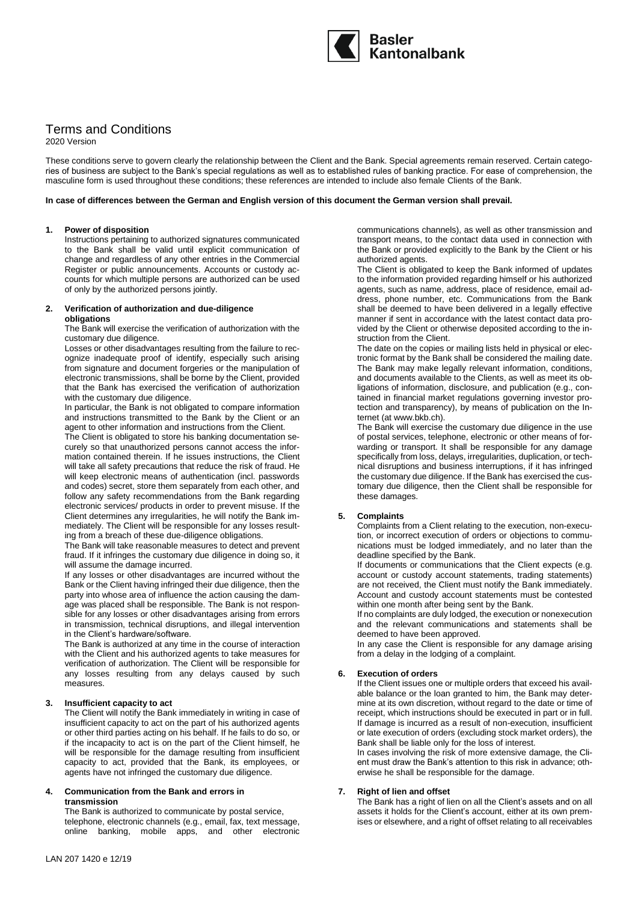

# Terms and Conditions

2020 Version

These conditions serve to govern clearly the relationship between the Client and the Bank. Special agreements remain reserved. Certain categories of business are subject to the Bank's special regulations as well as to established rules of banking practice. For ease of comprehension, the masculine form is used throughout these conditions; these references are intended to include also female Clients of the Bank.

**In case of differences between the German and English version of this document the German version shall prevail.**

#### **1. Power of disposition**

Instructions pertaining to authorized signatures communicated to the Bank shall be valid until explicit communication of change and regardless of any other entries in the Commercial Register or public announcements. Accounts or custody accounts for which multiple persons are authorized can be used of only by the authorized persons jointly.

#### **2. Verification of authorization and due-diligence obligations**

The Bank will exercise the verification of authorization with the customary due diligence.

Losses or other disadvantages resulting from the failure to recognize inadequate proof of identify, especially such arising from signature and document forgeries or the manipulation of electronic transmissions, shall be borne by the Client, provided that the Bank has exercised the verification of authorization with the customary due diligence.

In particular, the Bank is not obligated to compare information and instructions transmitted to the Bank by the Client or an agent to other information and instructions from the Client.

The Client is obligated to store his banking documentation securely so that unauthorized persons cannot access the information contained therein. If he issues instructions, the Client will take all safety precautions that reduce the risk of fraud. He will keep electronic means of authentication (incl. passwords and codes) secret, store them separately from each other, and follow any safety recommendations from the Bank regarding electronic services/ products in order to prevent misuse. If the Client determines any irregularities, he will notify the Bank immediately. The Client will be responsible for any losses resulting from a breach of these due-diligence obligations.

The Bank will take reasonable measures to detect and prevent fraud. If it infringes the customary due diligence in doing so, it will assume the damage incurred.

If any losses or other disadvantages are incurred without the Bank or the Client having infringed their due diligence, then the party into whose area of influence the action causing the damage was placed shall be responsible. The Bank is not responsible for any losses or other disadvantages arising from errors in transmission, technical disruptions, and illegal intervention in the Client's hardware/software.

The Bank is authorized at any time in the course of interaction with the Client and his authorized agents to take measures for verification of authorization. The Client will be responsible for any losses resulting from any delays caused by such measures.

## **3. Insufficient capacity to act**

The Client will notify the Bank immediately in writing in case of insufficient capacity to act on the part of his authorized agents or other third parties acting on his behalf. If he fails to do so, or if the incapacity to act is on the part of the Client himself, he will be responsible for the damage resulting from insufficient capacity to act, provided that the Bank, its employees, or agents have not infringed the customary due diligence.

#### **4. Communication from the Bank and errors in transmission**

The Bank is authorized to communicate by postal service, telephone, electronic channels (e.g., email, fax, text message, online banking, mobile apps, and other electronic communications channels), as well as other transmission and transport means, to the contact data used in connection with the Bank or provided explicitly to the Bank by the Client or his authorized agents. The Client is obligated to keep the Bank informed of updates

to the information provided regarding himself or his authorized agents, such as name, address, place of residence, email address, phone number, etc. Communications from the Bank shall be deemed to have been delivered in a legally effective manner if sent in accordance with the latest contact data provided by the Client or otherwise deposited according to the instruction from the Client.

The date on the copies or mailing lists held in physical or electronic format by the Bank shall be considered the mailing date. The Bank may make legally relevant information, conditions, and documents available to the Clients, as well as meet its obligations of information, disclosure, and publication (e.g., contained in financial market regulations governing investor protection and transparency), by means of publication on the Internet (at www.bkb.ch).

The Bank will exercise the customary due diligence in the use of postal services, telephone, electronic or other means of forwarding or transport. It shall be responsible for any damage specifically from loss, delays, irregularities, duplication, or technical disruptions and business interruptions, if it has infringed the customary due diligence. If the Bank has exercised the customary due diligence, then the Client shall be responsible for these damages.

## **5. Complaints**

Complaints from a Client relating to the execution, non-execution, or incorrect execution of orders or objections to communications must be lodged immediately, and no later than the deadline specified by the Bank.

If documents or communications that the Client expects (e.g. account or custody account statements, trading statements) are not received, the Client must notify the Bank immediately. Account and custody account statements must be contested within one month after being sent by the Bank.

If no complaints are duly lodged, the execution or nonexecution and the relevant communications and statements shall be deemed to have been approved.

In any case the Client is responsible for any damage arising from a delay in the lodging of a complaint.

## **6. Execution of orders**

If the Client issues one or multiple orders that exceed his available balance or the loan granted to him, the Bank may determine at its own discretion, without regard to the date or time of receipt, which instructions should be executed in part or in full. If damage is incurred as a result of non-execution, insufficient or late execution of orders (excluding stock market orders), the Bank shall be liable only for the loss of interest.

In cases involving the risk of more extensive damage, the Client must draw the Bank's attention to this risk in advance; otherwise he shall be responsible for the damage.

## **7. Right of lien and offset**

The Bank has a right of lien on all the Client's assets and on all assets it holds for the Client's account, either at its own premises or elsewhere, and a right of offset relating to all receivables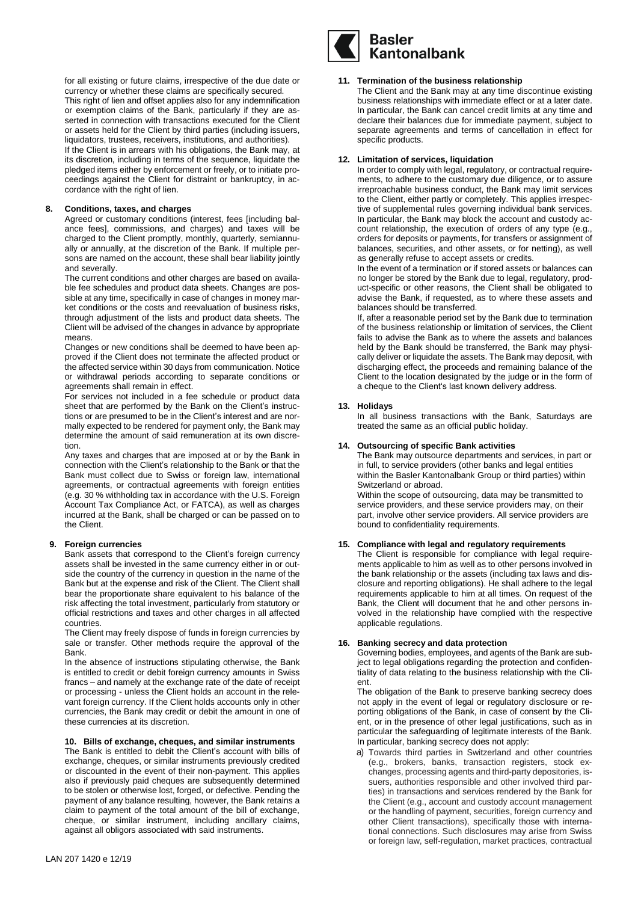for all existing or future claims, irrespective of the due date or currency or whether these claims are specifically secured. This right of lien and offset applies also for any indemnification or exemption claims of the Bank, particularly if they are asserted in connection with transactions executed for the Client or assets held for the Client by third parties (including issuers, liquidators, trustees, receivers, institutions, and authorities). If the Client is in arrears with his obligations, the Bank may, at its discretion, including in terms of the sequence, liquidate the pledged items either by enforcement or freely, or to initiate proceedings against the Client for distraint or bankruptcy, in accordance with the right of lien.

#### **8. Conditions, taxes, and charges**

Agreed or customary conditions (interest, fees [including balance fees], commissions, and charges) and taxes will be charged to the Client promptly, monthly, quarterly, semiannually or annually, at the discretion of the Bank. If multiple persons are named on the account, these shall bear liability jointly and severally.

The current conditions and other charges are based on available fee schedules and product data sheets. Changes are possible at any time, specifically in case of changes in money market conditions or the costs and reevaluation of business risks, through adjustment of the lists and product data sheets. The Client will be advised of the changes in advance by appropriate means.

Changes or new conditions shall be deemed to have been approved if the Client does not terminate the affected product or the affected service within 30 days from communication. Notice or withdrawal periods according to separate conditions or agreements shall remain in effect.

For services not included in a fee schedule or product data sheet that are performed by the Bank on the Client's instructions or are presumed to be in the Client's interest and are normally expected to be rendered for payment only, the Bank may determine the amount of said remuneration at its own discretion.

Any taxes and charges that are imposed at or by the Bank in connection with the Client's relationship to the Bank or that the Bank must collect due to Swiss or foreign law, international agreements, or contractual agreements with foreign entities (e.g. 30 % withholding tax in accordance with the U.S. Foreign Account Tax Compliance Act, or FATCA), as well as charges incurred at the Bank, shall be charged or can be passed on to the Client.

## **9. Foreign currencies**

Bank assets that correspond to the Client's foreign currency assets shall be invested in the same currency either in or outside the country of the currency in question in the name of the Bank but at the expense and risk of the Client. The Client shall bear the proportionate share equivalent to his balance of the risk affecting the total investment, particularly from statutory or official restrictions and taxes and other charges in all affected countries.

The Client may freely dispose of funds in foreign currencies by sale or transfer. Other methods require the approval of the Bank.

In the absence of instructions stipulating otherwise, the Bank is entitled to credit or debit foreign currency amounts in Swiss francs – and namely at the exchange rate of the date of receipt or processing - unless the Client holds an account in the relevant foreign currency. If the Client holds accounts only in other currencies, the Bank may credit or debit the amount in one of these currencies at its discretion.

## **10. Bills of exchange, cheques, and similar instruments**

The Bank is entitled to debit the Client's account with bills of exchange, cheques, or similar instruments previously credited or discounted in the event of their non-payment. This applies also if previously paid cheques are subsequently determined to be stolen or otherwise lost, forged, or defective. Pending the payment of any balance resulting, however, the Bank retains a claim to payment of the total amount of the bill of exchange, cheque, or similar instrument, including ancillary claims, against all obligors associated with said instruments.



#### **11. Termination of the business relationship**

The Client and the Bank may at any time discontinue existing business relationships with immediate effect or at a later date. In particular, the Bank can cancel credit limits at any time and declare their balances due for immediate payment, subject to separate agreements and terms of cancellation in effect for specific products.

# **12. Limitation of services, liquidation**

In order to comply with legal, regulatory, or contractual requirements, to adhere to the customary due diligence, or to assure irreproachable business conduct, the Bank may limit services to the Client, either partly or completely. This applies irrespective of supplemental rules governing individual bank services. In particular, the Bank may block the account and custody account relationship, the execution of orders of any type (e.g., orders for deposits or payments, for transfers or assignment of balances, securities, and other assets, or for netting), as well as generally refuse to accept assets or credits.

In the event of a termination or if stored assets or balances can no longer be stored by the Bank due to legal, regulatory, product-specific or other reasons, the Client shall be obligated to advise the Bank, if requested, as to where these assets and balances should be transferred.

If, after a reasonable period set by the Bank due to termination of the business relationship or limitation of services, the Client fails to advise the Bank as to where the assets and balances held by the Bank should be transferred, the Bank may physically deliver or liquidate the assets. The Bank may deposit, with discharging effect, the proceeds and remaining balance of the Client to the location designated by the judge or in the form of a cheque to the Client's last known delivery address.

## **13. Holidays**

In all business transactions with the Bank, Saturdays are treated the same as an official public holiday.

# **14. Outsourcing of specific Bank activities**

The Bank may outsource departments and services, in part or in full, to service providers (other banks and legal entities within the Basler Kantonalbank Group or third parties) within Switzerland or abroad. Within the scope of outsourcing, data may be transmitted to

service providers, and these service providers may, on their part, involve other service providers. All service providers are bound to confidentiality requirements.

#### **15. Compliance with legal and regulatory requirements**

The Client is responsible for compliance with legal requirements applicable to him as well as to other persons involved in the bank relationship or the assets (including tax laws and disclosure and reporting obligations). He shall adhere to the legal requirements applicable to him at all times. On request of the Bank, the Client will document that he and other persons involved in the relationship have complied with the respective applicable regulations.

#### **16. Banking secrecy and data protection**

Governing bodies, employees, and agents of the Bank are subject to legal obligations regarding the protection and confidentiality of data relating to the business relationship with the Client.

The obligation of the Bank to preserve banking secrecy does not apply in the event of legal or regulatory disclosure or reporting obligations of the Bank, in case of consent by the Client, or in the presence of other legal justifications, such as in particular the safeguarding of legitimate interests of the Bank. In particular, banking secrecy does not apply:

a) Towards third parties in Switzerland and other countries (e.g., brokers, banks, transaction registers, stock exchanges, processing agents and third-party depositories, issuers, authorities responsible and other involved third parties) in transactions and services rendered by the Bank for the Client (e.g., account and custody account management or the handling of payment, securities, foreign currency and other Client transactions), specifically those with international connections. Such disclosures may arise from Swiss or foreign law, self-regulation, market practices, contractual